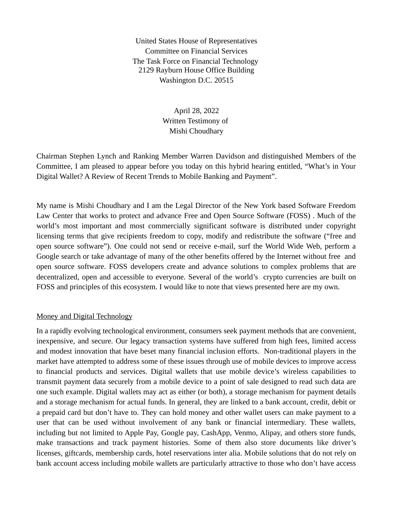United States House of Representatives Committee on Financial Services The Task Force on Financial Technology 2129 Rayburn House Office Building Washington D.C. 20515

> April 28, 2022 Written Testimony of Mishi Choudhary

Chairman Stephen Lynch and Ranking Member Warren Davidson and distinguished Members of the Committee, I am pleased to appear before you today on this hybrid hearing entitled, "What's in Your Digital Wallet? A Review of Recent Trends to Mobile Banking and Payment".

My name is Mishi Choudhary and I am the Legal Director of the New York based Software Freedom Law Center that works to protect and advance Free and Open Source Software (FOSS) . Much of the world's most important and most commercially significant software is distributed under copyright licensing terms that give recipients freedom to copy, modify and redistribute the software ("free and open source software"). One could not send or receive e-mail, surf the World Wide Web, perform a Google search or take advantage of many of the other benefits offered by the Internet without free and open source software. FOSS developers create and advance solutions to complex problems that are decentralized, open and accessible to everyone. Several of the world's crypto currencies are built on FOSS and principles of this ecosystem. I would like to note that views presented here are my own.

## Money and Digital Technology

In a rapidly evolving technological environment, consumers seek payment methods that are convenient, inexpensive, and secure. Our legacy transaction systems have suffered from high fees, limited access and modest innovation that have beset many financial inclusion efforts. Non-traditional players in the market have attempted to address some of these issues through use of mobile devices to improve access to financial products and services. Digital wallets that use mobile device's wireless capabilities to transmit payment data securely from a mobile device to a point of sale designed to read such data are one such example. Digital wallets may act as either (or both), a storage mechanism for payment details and a storage mechanism for actual funds. In general, they are linked to a bank account, credit, debit or a prepaid card but don't have to. They can hold money and other wallet users can make payment to a user that can be used without involvement of any bank or financial intermediary. These wallets, including but not limited to Apple Pay, Google pay, CashApp, Venmo, Alipay, and others store funds, make transactions and track payment histories. Some of them also store documents like driver's licenses, giftcards, membership cards, hotel reservations inter alia. Mobile solutions that do not rely on bank account access including mobile wallets are particularly attractive to those who don't have access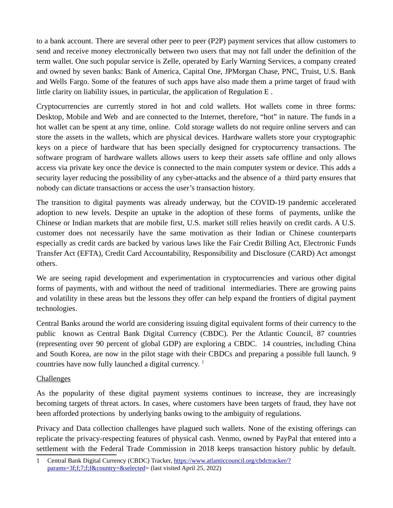to a bank account. There are several other peer to peer (P2P) payment services that allow customers to send and receive money electronically between two users that may not fall under the definition of the term wallet. One such popular service is Zelle, operated by Early Warning Services, a company created and owned by seven banks: Bank of America, Capital One, JPMorgan Chase, PNC, Truist, U.S. Bank and Wells Fargo. Some of the features of such apps have also made them a prime target of fraud with little clarity on liability issues, in particular, the application of Regulation E .

Cryptocurrencies are currently stored in hot and cold wallets. Hot wallets come in three forms: Desktop, Mobile and Web and are connected to the Internet, therefore, "hot" in nature. The funds in a hot wallet can be spent at any time, online. Cold storage wallets do not require online servers and can store the assets in the wallets, which are physical devices. Hardware wallets store your cryptographic keys on a piece of hardware that has been specially designed for cryptocurrency transactions. The software program of hardware wallets allows users to keep their assets safe offline and only allows access via private key once the device is connected to the main computer system or device. This adds a security layer reducing the possibility of any cyber-attacks and the absence of a third party ensures that nobody can dictate transactions or access the user's transaction history.

The transition to digital payments was already underway, but the COVID-19 pandemic accelerated adoption to new levels. Despite an uptake in the adoption of these forms of payments, unlike the Chinese or Indian markets that are mobile first, U.S. market still relies heavily on credit cards. A U.S. customer does not necessarily have the same motivation as their Indian or Chinese counterparts especially as credit cards are backed by various laws like the Fair Credit Billing Act, Electronic Funds Transfer Act (EFTA), Credit Card Accountability, Responsibility and Disclosure (CARD) Act amongst others.

We are seeing rapid development and experimentation in cryptocurrencies and various other digital forms of payments, with and without the need of traditional intermediaries. There are growing pains and volatility in these areas but the lessons they offer can help expand the frontiers of digital payment technologies.

Central Banks around the world are considering issuing digital equivalent forms of their currency to the public known as Central Bank Digital Currency (CBDC). Per the Atlantic Council, 87 countries (representing over 90 percent of global GDP) are exploring a CBDC. 14 countries, including China and South Korea, are now in the pilot stage with their CBDCs and preparing a possible full launch. 9 countries have now fully launched a digital currency.<sup>[1](#page-1-0)</sup>

## Challenges

As the popularity of these digital payment systems continues to increase, they are increasingly becoming targets of threat actors. In cases, where customers have been targets of fraud, they have not been afforded protections by underlying banks owing to the ambiguity of regulations.

Privacy and Data collection challenges have plagued such wallets. None of the existing offerings can replicate the privacy-respecting features of physical cash. Venmo, owned by PayPal that entered into a settlement with the Federal Trade Commission in 2018 keeps transaction history public by default.

<span id="page-1-0"></span><sup>1</sup> Central Bank Digital Currency (CBDC) Tracker, [https://www.atlanticcouncil.org/cbdctracker/?](https://www.atlanticcouncil.org/cbdctracker/?params=3f;f;7;f;f&country=&selected) [params=3f;f;7;f;f&country=&selected=](https://www.atlanticcouncil.org/cbdctracker/?params=3f;f;7;f;f&country=&selected) (last visited April 25, 2022)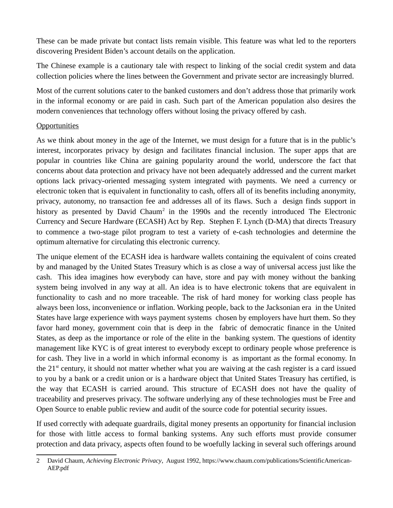These can be made private but contact lists remain visible. This feature was what led to the reporters discovering President Biden's account details on the application.

The Chinese example is a cautionary tale with respect to linking of the social credit system and data collection policies where the lines between the Government and private sector are increasingly blurred.

Most of the current solutions cater to the banked customers and don't address those that primarily work in the informal economy or are paid in cash. Such part of the American population also desires the modern conveniences that technology offers without losing the privacy offered by cash.

## **Opportunities**

As we think about money in the age of the Internet, we must design for a future that is in the public's interest, incorporates privacy by design and facilitates financial inclusion. The super apps that are popular in countries like China are gaining popularity around the world, underscore the fact that concerns about data protection and privacy have not been adequately addressed and the current market options lack privacy-oriented messaging system integrated with payments. We need a currency or electronic token that is equivalent in functionality to cash, offers all of its benefits including anonymity, privacy, autonomy, no transaction fee and addresses all of its flaws. Such a design finds support in history as presented by David Chaum<sup>[2](#page-2-0)</sup> in the 1990s and the recently introduced The Electronic Currency and Secure Hardware (ECASH) Act by Rep. Stephen F. Lynch (D-MA) that directs Treasury to commence a two-stage pilot program to test a variety of e-cash technologies and determine the optimum alternative for circulating this electronic currency.

The unique element of the ECASH idea is hardware wallets containing the equivalent of coins created by and managed by the United States Treasury which is as close a way of universal access just like the cash. This idea imagines how everybody can have, store and pay with money without the banking system being involved in any way at all. An idea is to have electronic tokens that are equivalent in functionality to cash and no more traceable. The risk of hard money for working class people has always been loss, inconvenience or inflation. Working people, back to the Jacksonian era in the United States have large experience with ways payment systems chosen by employers have hurt them. So they favor hard money, government coin that is deep in the fabric of democratic finance in the United States, as deep as the importance or role of the elite in the banking system. The questions of identity management like KYC is of great interest to everybody except to ordinary people whose preference is for cash. They live in a world in which informal economy is as important as the formal economy. In the  $21<sup>st</sup>$  century, it should not matter whether what you are waiving at the cash register is a card issued to you by a bank or a credit union or is a hardware object that United States Treasury has certified, is the way that ECASH is carried around. This structure of ECASH does not have the quality of traceability and preserves privacy. The software underlying any of these technologies must be Free and Open Source to enable public review and audit of the source code for potential security issues.

If used correctly with adequate guardrails, digital money presents an opportunity for financial inclusion for those with little access to formal banking systems. Any such efforts must provide consumer protection and data privacy, aspects often found to be woefully lacking in several such offerings around

<span id="page-2-0"></span><sup>2</sup> David Chaum, *Achieving Electronic Privacy*, August 1992, https://www.chaum.com/publications/ScientificAmerican-AEP.pdf